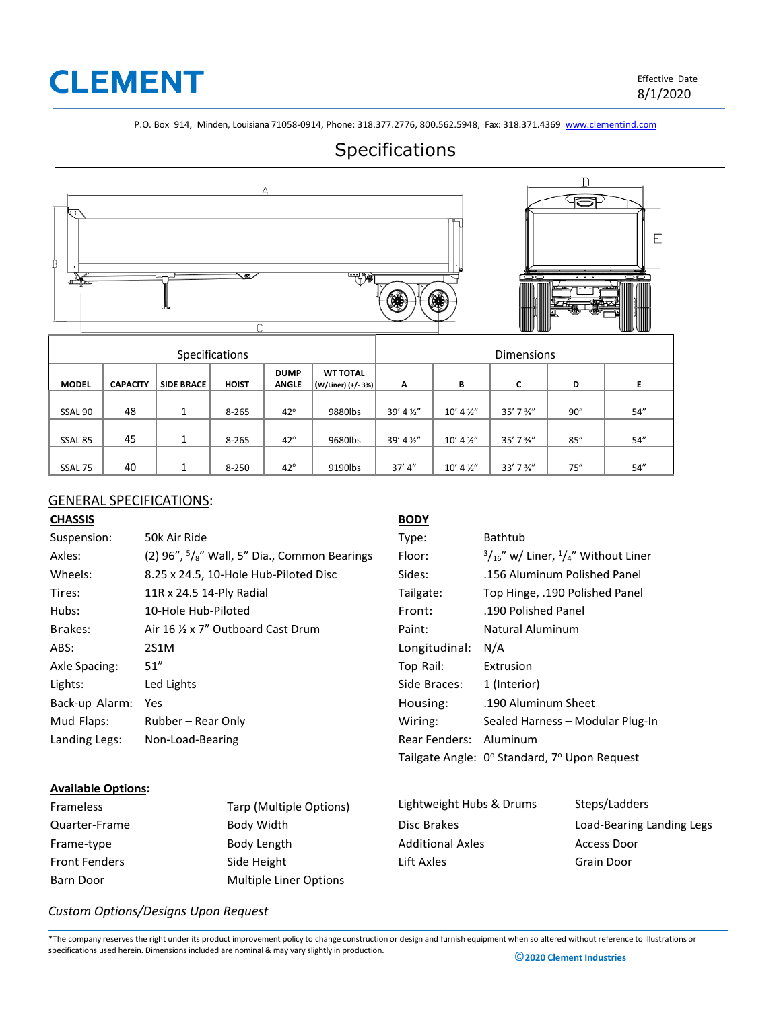## **CLEMENT**

P.O. Box 914, Minden, Louisiana 71058-0914, Phone: 318.377.2776, 800.562.5948, Fax: 318.371.4369 [www.clementind.com](http://www.clementind.com/)

### Specifications



#### GENERAL SPECIFICATIONS:

| <b>CHASSIS</b> |                                                              | <b>BODY</b>   |                                                          |
|----------------|--------------------------------------------------------------|---------------|----------------------------------------------------------|
| Suspension:    | 50k Air Ride                                                 | Type:         | Bathtub                                                  |
| Axles:         | (2) $96''$ , $5\frac{1}{8}$ " Wall, 5" Dia., Common Bearings | Floor:        | $\frac{3}{16}$ " w/ Liner, $\frac{1}{4}$ " Without Liner |
| Wheels:        | 8.25 x 24.5, 10-Hole Hub-Piloted Disc                        | Sides:        | .156 Aluminum Polished Panel                             |
| Tires:         | 11R x 24.5 14-Ply Radial                                     | Tailgate:     | Top Hinge, .190 Polished Panel                           |
| Hubs:          | 10-Hole Hub-Piloted                                          | Front:        | .190 Polished Panel                                      |
| Brakes:        | Air 16 % x 7" Outboard Cast Drum                             | Paint:        | Natural Aluminum                                         |
| ABS:           | 2S1M                                                         | Longitudinal: | N/A                                                      |
| Axle Spacing:  | 51''                                                         | Top Rail:     | Extrusion                                                |
| Lights:        | Led Lights                                                   | Side Braces:  | 1 (Interior)                                             |
| Back-up Alarm: | Yes                                                          | Housing:      | .190 Aluminum Sheet                                      |
| Mud Flaps:     | Rubber – Rear Only                                           | Wiring:       | Sealed Harness - Modular Plug-In                         |
| Landing Legs:  | Non-Load-Bearing                                             | Rear Fenders: | Aluminum                                                 |
|                |                                                              |               | Tailgate Angle: 0° Standard, 7° Upon Request             |

#### **Available Options:**

| Frameless            | Tarp (Multiple Options) | Lightweight Hubs & Drums | Steps/Ladders             |
|----------------------|-------------------------|--------------------------|---------------------------|
| Quarter-Frame        | Body Width              | Disc Brakes              | Load-Bearing Landing Legs |
| Frame-type           | Body Length             | <b>Additional Axles</b>  | Access Door               |
| <b>Front Fenders</b> | Side Height             | Lift Axles               | Grain Door                |
| Barn Door            | Multiple Liner Options  |                          |                           |

#### *Custom Options/Designs Upon Request*

\*The company reserves the right under its product improvement policy to change construction or design and furnish equipment when so altered without reference to illustrations or specifications used herein. Dimensionsincluded are nominal & may vary slightly in production. ©**<sup>2020</sup> Clement Industries**